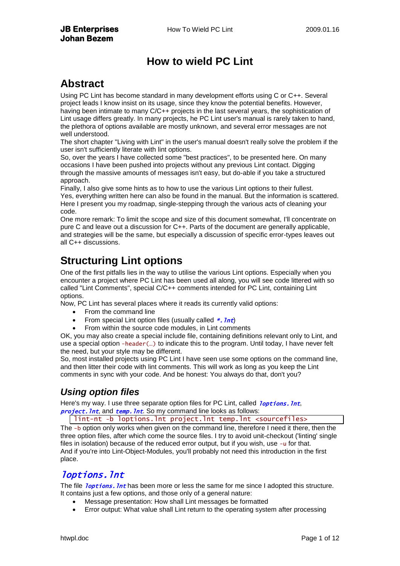## **How to wield PC Lint**

## **Abstract**

Using PC Lint has become standard in many development efforts using C or C++. Several project leads I know insist on its usage, since they know the potential benefits. However, having been intimate to many C/C++ projects in the last several years, the sophistication of Lint usage differs greatly. In many projects, he PC Lint user's manual is rarely taken to hand, the plethora of options available are mostly unknown, and several error messages are not well understood.

The short chapter "Living with Lint" in the user's manual doesn't really solve the problem if the user isn't sufficiently literate with lint options.

So, over the years I have collected some "best practices", to be presented here. On many occasions I have been pushed into projects without any previous Lint contact. Digging through the massive amounts of messages isn't easy, but do-able if you take a structured approach.

Finally, I also give some hints as to how to use the various Lint options to their fullest. Yes, everything written here can also be found in the manual. But the information is scattered. Here I present you my roadmap, single-stepping through the various acts of cleaning your code.

One more remark: To limit the scope and size of this document somewhat, I'll concentrate on pure C and leave out a discussion for C++. Parts of the document are generally applicable, and strategies will be the same, but especially a discussion of specific error-types leaves out all C++ discussions.

## **Structuring Lint options**

One of the first pitfalls lies in the way to utilise the various Lint options. Especially when you encounter a project where PC Lint has been used all along, you will see code littered with so called "Lint Comments", special C/C++ comments intended for PC Lint, containing Lint options.

Now, PC Lint has several places where it reads its currently valid options:

- From the command line
- From special Lint option files (usually called  $*.$  Int)
- From within the source code modules, in Lint comments

OK, you may also create a special include file, containing definitions relevant only to Lint, and use a special option -header(…) to indicate this to the program. Until today, I have never felt the need, but your style may be different.

So, most installed projects using PC Lint I have seen use some options on the command line, and then litter their code with lint comments. This will work as long as you keep the Lint comments in sync with your code. And be honest: You always do that, don't you?

## *Using option files*

Here's my way. I use three separate option files for PC Lint, called *loptions. Int*, project. Int, and temp. Int. So my command line looks as follows:

#### lint-nt -b loptions.lnt project.lnt temp.lnt <sourcefiles>

The -b option only works when given on the command line, therefore I need it there, then the three option files, after which come the source files. I try to avoid unit-checkout ('linting' single files in isolation) because of the reduced error output, but if you wish, use -u for that. And if you're into Lint-Object-Modules, you'll probably not need this introduction in the first place.

## loptions.lnt

The file *loptions. Int* has been more or less the same for me since I adopted this structure. It contains just a few options, and those only of a general nature:

- Message presentation: How shall Lint messages be formatted
- Error output: What value shall Lint return to the operating system after processing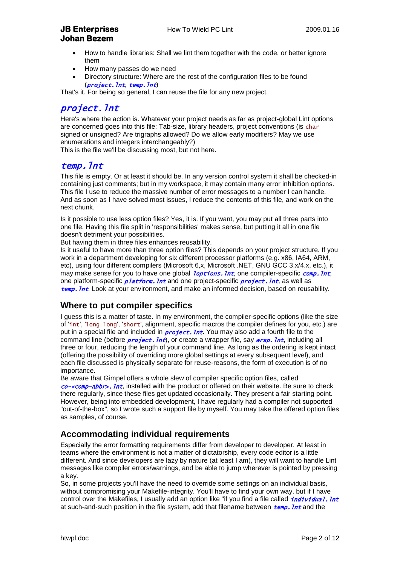- How to handle libraries: Shall we lint them together with the code, or better ignore them
- How many passes do we need
- Directory structure: Where are the rest of the configuration files to be found (project.lnt, temp.lnt)

That's it. For being so general, I can reuse the file for any new project.

### project.lnt

Here's where the action is. Whatever your project needs as far as project-global Lint options are concerned goes into this file: Tab-size, library headers, project conventions (is char signed or unsigned? Are trigraphs allowed? Do we allow early modifiers? May we use enumerations and integers interchangeably?)

This is the file we'll be discussing most, but not here.

#### temp.lnt

This file is empty. Or at least it should be. In any version control system it shall be checked-in containing just comments; but in my workspace, it may contain many error inhibition options. This file I use to reduce the massive number of error messages to a number I can handle. And as soon as I have solved most issues, I reduce the contents of this file, and work on the next chunk.

Is it possible to use less option files? Yes, it is. If you want, you may put all three parts into one file. Having this file split in 'responsibilities' makes sense, but putting it all in one file doesn't detriment your possibilities.

But having them in three files enhances reusability.

Is it useful to have more than three option files? This depends on your project structure. If you work in a department developing for six different processor platforms (e.g. x86, IA64, ARM, etc), using four different compilers (Microsoft 6,x, Microsoft .NET, GNU GCC 3.x/4.x, etc.), it may make sense for you to have one global *loptions. Int*, one compiler-specific *comp. Int*, one platform-specific *platform. Int* and one project-specific *project. Int*, as well as temp. Int. Look at your environment, and make an informed decision, based on reusability.

#### **Where to put compiler specifics**

I guess this is a matter of taste. In my environment, the compiler-specific options (like the size of 'int', 'long long', 'short', alignment, specific macros the compiler defines for you, etc.) are put in a special file and included in *project. Int*. You may also add a fourth file to the command line (before *project. lnt*), or create a wrapper file, say *wrap. lnt*, including all three or four, reducing the length of your command line. As long as the ordering is kept intact (offering the possibility of overriding more global settings at every subsequent level), and each file discussed is physically separate for reuse-reasons, the form of execution is of no importance.

Be aware that Gimpel offers a whole slew of compiler specific option files, called  $\frac{co-}{.}$  installed with the product or offered on their website. Be sure to check there regularly, since these files get updated occasionally. They present a fair starting point. However, being into embedded development, I have regularly had a compiler not supported "out-of-the-box", so I wrote such a support file by myself. You may take the offered option files as samples, of course.

#### **Accommodating individual requirements**

Especially the error formatting requirements differ from developer to developer. At least in teams where the environment is not a matter of dictatorship, every code editor is a little different. And since developers are lazy by nature (at least I am), they will want to handle Lint messages like compiler errors/warnings, and be able to jump wherever is pointed by pressing a key.

So, in some projects you'll have the need to override some settings on an individual basis, without compromising your Makefile-integrity. You'll have to find your own way, but if I have control over the Makefiles, I usually add an option like "if you find a file called *individual. Int* at such-and-such position in the file system, add that filename between  $temp$ . Int and the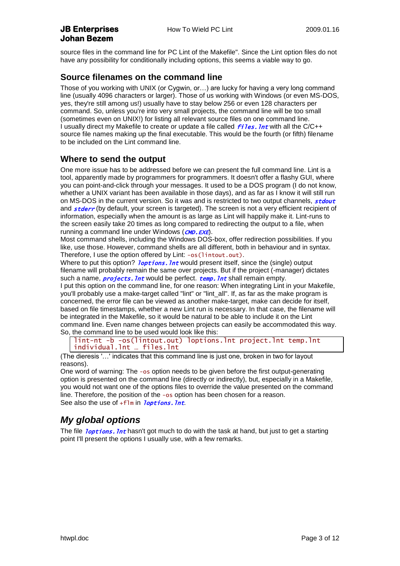source files in the command line for PC Lint of the Makefile". Since the Lint option files do not have any possibility for conditionally including options, this seems a viable way to go.

#### **Source filenames on the command line**

Those of you working with UNIX (or Cygwin, or…) are lucky for having a very long command line (usually 4096 characters or larger). Those of us working with Windows (or even MS-DOS, yes, they're still among us!) usually have to stay below 256 or even 128 characters per command. So, unless you're into very small projects, the command line will be too small (sometimes even on UNIX!) for listing all relevant source files on one command line. I usually direct my Makefile to create or update a file called  $f$ iles. Int with all the C/C++ source file names making up the final executable. This would be the fourth (or fifth) filename to be included on the Lint command line.

### **Where to send the output**

One more issue has to be addressed before we can present the full command line. Lint is a tool, apparently made by programmers for programmers. It doesn't offer a flashy GUI, where you can point-and-click through your messages. It used to be a DOS program (I do not know, whether a UNIX variant has been available in those days), and as far as I know it will still run on MS-DOS in the current version. So it was and is restricted to two output channels, *stdout* and *stderr* (by default, your screen is targeted). The screen is not a very efficient recipient of information, especially when the amount is as large as Lint will happily make it. Lint-runs to the screen easily take 20 times as long compared to redirecting the output to a file, when running a command line under Windows (CMD. EXE).

Most command shells, including the Windows DOS-box, offer redirection possibilities. If you like, use those. However, command shells are all different, both in behaviour and in syntax. Therefore, I use the option offered by Lint: -os(lintout.out).

Where to put this option? *loptions. Int* would present itself, since the (single) output filename will probably remain the same over projects. But if the project (-manager) dictates such a name, *projects. Int* would be perfect. *temp. Int* shall remain empty.

I put this option on the command line, for one reason: When integrating Lint in your Makefile, you'll probably use a make-target called "lint" or "lint all". If, as far as the make program is concerned, the error file can be viewed as another make-target, make can decide for itself, based on file timestamps, whether a new Lint run is necessary. In that case, the filename will be integrated in the Makefile, so it would be natural to be able to include it on the Lint command line. Even name changes between projects can easily be accommodated this way. So, the command line to be used would look like this:

lint-nt -b -os(lintout.out) loptions.lnt project.lnt temp.lnt individual.lnt … files.lnt

(The dieresis '…' indicates that this command line is just one, broken in two for layout reasons).

One word of warning: The -os option needs to be given before the first output-generating option is presented on the command line (directly or indirectly), but, especially in a Makefile, you would not want one of the options files to override the value presented on the command line. Therefore, the position of the -os option has been chosen for a reason. See also the use of  $+f \ln \ln$  *loptions. Int*.

## *My global options*

The file *loptions. Int* hasn't got much to do with the task at hand, but just to get a starting point I'll present the options I usually use, with a few remarks.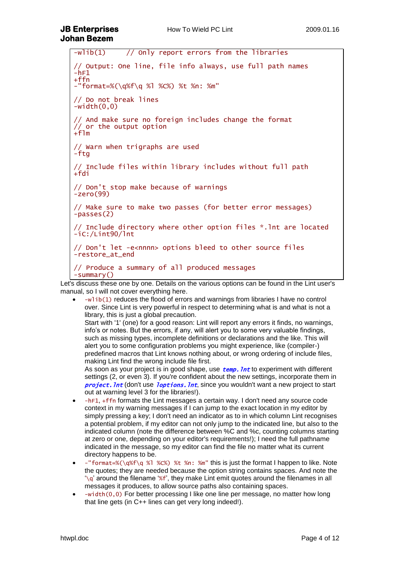#### **JB Enterprises** How To Wield PC Lint 2009.01.16 **Johan Bezem**

 $-wlib(1)$  // Only report errors from the libraries // Output: One line, file info always, use full path names  $-hF1$  $+ffn$ -"format=%(\q%f\q %l %C%) %t %n: %m" // Do not break lines  $-width(0,0)$ // And make sure no foreign includes change the format // or the output option +flm // Warn when trigraphs are used -ftg // Include files within library includes without full path  $+fdi$ // Don't stop make because of warnings  $-zero(99)$ // Make sure to make two passes (for better error messages)  $-p$ asses $(2)$ // Include directory where other option files \*.lnt are located -iC:/Lint90/lnt // Don't let -e<nnnn> options bleed to other source files -restore\_at\_end // Produce a summary of all produced messages -summary()

Let's discuss these one by one. Details on the various options can be found in the Lint user's manual, so I will not cover everything here.

 -wlib(1) reduces the flood of errors and warnings from libraries I have no control over. Since Lint is very powerful in respect to determining what is and what is not a library, this is just a global precaution. Start with '1' (one) for a good reason: Lint will report any errors it finds, no warnings, info's or notes. But the errors, if any, will alert you to some very valuable findings, such as missing types, incomplete definitions or declarations and the like. This will alert you to some configuration problems you might experience, like (compiler-) predefined macros that Lint knows nothing about, or wrong ordering of include files, making Lint find the wrong include file first. As soon as your project is in good shape, use  $temp$ . Int to experiment with different settings (2, or even 3). If you're confident about the new settings, incorporate them in

**project.** Int (don't use loptions. Int, since you wouldn't want a new project to start out at warning level 3 for the libraries!).

- -hF1, +ffn formats the Lint messages a certain way. I don't need any source code context in my warning messages if I can jump to the exact location in my editor by simply pressing a key; I don't need an indicator as to in which column Lint recognises a potential problem, if my editor can not only jump to the indicated line, but also to the indicated column (note the difference between %C and %c, counting columns starting at zero or one, depending on your editor's requirements!); I need the full pathname indicated in the message, so my editor can find the file no matter what its current directory happens to be.
- $-$ "format=% $\qquad\qquad$  (\q%f\q %1 % $\ltimes$ %) %t %n: %m" this is just the format I happen to like. Note the quotes; they are needed because the option string contains spaces. And note the  $\gamma$ <sup>'</sup> around the filename '%f', they make Lint emit quotes around the filenames in all messages it produces, to allow source paths also containing spaces.
- -width(0,0) For better processing I like one line per message, no matter how long that line gets (in C++ lines can get very long indeed!).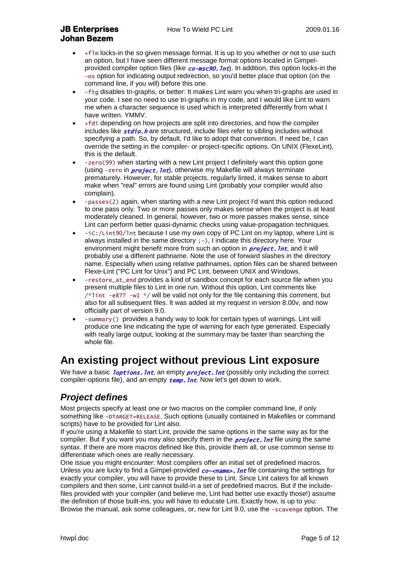- +flm locks-in the so given message format. It is up to you whether or not to use such an option, but I have seen different message format options located in Gimpelprovided compiler option files (like  $co-msc90$ . *Int*). In addition, this option locks-in the –os option for indicating output redirection, so you'd better place that option (on the command line, if you will) before this one.
- -ftg disables tri-graphs, or better: It makes Lint warn you when tri-graphs are used in your code. I see no need to use tri-graphs in my code, and I would like Lint to warn me when a character sequence is used which is interpreted differently from what I have written. YMMV.
- +fdi depending on how projects are split into directories, and how the compiler includes like  $stdio$ , h are structured, include files refer to sibling includes without specifying a path. So, by default, I'd like to adopt that convention. If need be, I can override the setting in the compiler- or project-specific options. On UNIX (FlexeLint), this is the default.
- -zero(99) when starting with a new Lint project I definitely want this option gone (using -zero in *project. 1nt*), otherwise my Makefile will always terminate prematurely. However, for stable projects, regularly linted, it makes sense to abort make when "real" errors are found using Lint (probably your compiler would also complain).
- -passes(2) again, when starting with a new Lint project I'd want this option reduced to one pass only. Two or more passes only makes sense when the project is at least moderately cleaned. In general, however, two or more passes makes sense, since Lint can perform better quasi-dynamic checks using value-propagation techniques.
- -iC:/Lint90/lnt because I use my own copy of PC Lint on my laptop, where Lint is always installed in the same directory ;-), I indicate this directory here. Your environment might benefit more from such an option in **project.** Int, and it will probably use a different pathname. Note the use of forward slashes in the directory name. Especially when using relative pathnames, option files can be shared between Flexe-Lint ("PC Lint for Unix") and PC Lint, between UNIX and Windows.
- -restore\_at\_end provides a kind of sandbox concept for each source file when you present multiple files to Lint in one run. Without this option, Lint comments like  $/*$ lint -e8?? -w1 \*/ will be valid not only for the file containing this comment, but also for all subsequent files. It was added at my request in version 8.00v, and now officially part of version 9.0.
- -summary() provides a handy way to look for certain types of warnings. Lint will produce one line indicating the type of warning for each type generated. Especially with really large output, looking at the summary may be faster than searching the whole file.

## **An existing project without previous Lint exposure**

We have a basic *loptions. Int*, an empty *project. Int* (possibly only including the correct compiler-options file), and an empty  $temp$ . Int. Now let's get down to work.

## *Project defines*

Most projects specify at least one or two macros on the compiler command line, if only something like -DTARGET=RELEASE. Such options (usually contained in Makefiles or command scripts) have to be provided for Lint also.

If you're using a Makefile to start Lint, provide the same options in the same way as for the compiler. But if you want you may also specify them in the *project. Int* file using the same syntax. If there are more macros defined like this, provide them all, or use common sense to differentiate which ones are really necessary.

One issue you might encounter: Most compilers offer an initial set of predefined macros. Unless you are lucky to find a Gimpel-provided  $co$ - $\langle$ name>. Int file containing the settings for exactly your compiler, you will have to provide these to Lint. Since Lint caters for all known compilers and then some, Lint cannot build-in a set of predefined macros. But if the includefiles provided with your compiler (and believe me, Lint had better use exactly those!) assume the definition of those built-ins, you will have to educate Lint. Exactly how, is up to you: Browse the manual, ask some colleagues, or, new for Lint 9.0, use the –scavenge option. The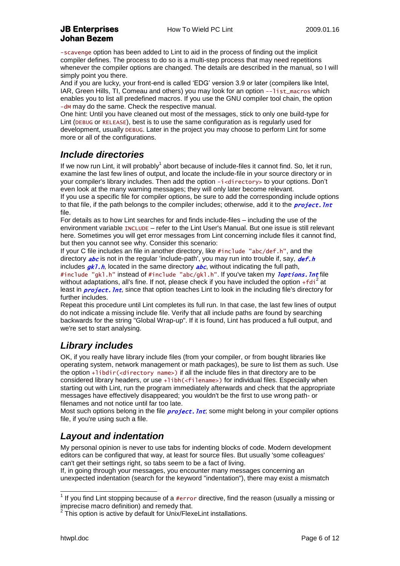-scavenge option has been added to Lint to aid in the process of finding out the implicit compiler defines. The process to do so is a multi-step process that may need repetitions whenever the compiler options are changed. The details are described in the manual, so I will simply point you there.

And if you are lucky, your front-end is called 'EDG' version 3.9 or later (compilers like Intel, IAR, Green Hills, TI, Comeau and others) you may look for an option --list\_macros which enables you to list all predefined macros. If you use the GNU compiler tool chain, the option -dm may do the same. Check the respective manual.

One hint: Until you have cleaned out most of the messages, stick to only one build-type for Lint (DEBUG or RELEASE), best is to use the same configuration as is regularly used for development, usually DEBUG. Later in the project you may choose to perform Lint for some more or all of the configurations.

## *Include directories*

If we now run Lint, it will probably<sup>1</sup> abort because of include-files it cannot find. So, let it run, examine the last few lines of output, and locate the include-file in your source directory or in your compiler's library includes. Then add the option -i<directory> to your options. Don't even look at the many warning messages; they will only later become relevant. If you use a specific file for compiler options, be sure to add the corresponding include options

to that file, if the path belongs to the compiler includes; otherwise, add it to the *project*. Int file.

For details as to how Lint searches for and finds include-files – including the use of the environment variable INCLUDE – refer to the Lint User's Manual. But one issue is still relevant here. Sometimes you will get error messages from Lint concerning include files it cannot find, but then you cannot see why. Consider this scenario:

If your C file includes an file in another directory, like #include "abc/def.h", and the directory  $abc$  is not in the regular 'include-path', you may run into trouble if, say,  $def.h$ includes  $g k 1. h$ , located in the same directory  $abc$ , without indicating the full path,

#include "gkl.h" instead of #include "abc/gkl.h". If you've taken my *loptions. Int* file without adaptations, all's fine. If not, please check if you have included the option  $+fdi^2$  at least in **project.** Int, since that option teaches Lint to look in the including file's directory for further includes.

Repeat this procedure until Lint completes its full run. In that case, the last few lines of output do not indicate a missing include file. Verify that all include paths are found by searching backwards for the string "Global Wrap-up". If it is found, Lint has produced a full output, and we're set to start analysing.

## *Library includes*

OK, if you really have library include files (from your compiler, or from bought libraries like operating system, network management or math packages), be sure to list them as such. Use the option +libdir(<directory name>) if all the include files in that directory are to be considered library headers, or use +libh(<filename>) for individual files. Especially when starting out with Lint, run the program immediately afterwards and check that the appropriate messages have effectively disappeared; you wouldn't be the first to use wrong path- or filenames and not notice until far too late.

Most such options belong in the file *project. Int*; some might belong in your compiler options file, if you're using such a file.

## *Layout and indentation*

My personal opinion is never to use tabs for indenting blocks of code. Modern development editors can be configured that way, at least for source files. But usually 'some colleagues' can't get their settings right, so tabs seem to be a fact of living.

If, in going through your messages, you encounter many messages concerning an unexpected indentation (search for the keyword "indentation"), there may exist a mismatch

 $\overline{\phantom{a}}$ 

<sup>&</sup>lt;sup>1</sup> If you find Lint stopping because of a #error directive, find the reason (usually a missing or imprecise macro definition) and remedy that.<br><sup>2</sup> This option is estive by default for Univ(Flore

This option is active by default for Unix/FlexeLint installations.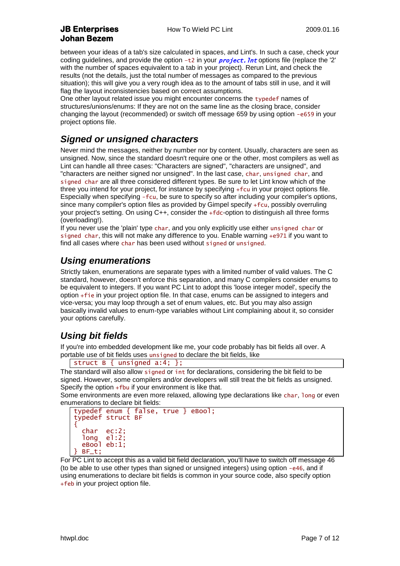#### **JB Enterprises** How To Wield PC Lint 2009.01.16 **Johan Bezem**

between your ideas of a tab's size calculated in spaces, and Lint's. In such a case, check your coding guidelines, and provide the option  $-t2$  in your *project. Int* options file (replace the '2' with the number of spaces equivalent to a tab in your project). Rerun Lint, and check the results (not the details, just the total number of messages as compared to the previous situation); this will give you a very rough idea as to the amount of tabs still in use, and it will flag the layout inconsistencies based on correct assumptions.

One other layout related issue you might encounter concerns the typedef names of structures/unions/enums: If they are not on the same line as the closing brace, consider changing the layout (recommended) or switch off message 659 by using option -e659 in your project options file.

## *Signed or unsigned characters*

Never mind the messages, neither by number nor by content. Usually, characters are seen as unsigned. Now, since the standard doesn't require one or the other, most compilers as well as Lint can handle all three cases: "Characters are signed", "characters are unsigned", and "characters are neither signed nor unsigned". In the last case, char, unsigned char, and signed char are all three considered different types. Be sure to let Lint know which of the three you intend for your project, for instance by specifying +fcu in your project options file. Especially when specifying -fcu, be sure to specify so after including your compiler's options, since many compiler's option files as provided by Gimpel specify +fcu, possibly overruling your project's setting. On using C++, consider the +fdc-option to distinguish all three forms (overloading!).

If you never use the 'plain' type char, and you only explicitly use either unsigned char or signed char, this will not make any difference to you. Enable warning +e971 if you want to find all cases where char has been used without signed or unsigned.

## *Using enumerations*

Strictly taken, enumerations are separate types with a limited number of valid values. The C standard, however, doesn't enforce this separation, and many C compilers consider enums to be equivalent to integers. If you want PC Lint to adopt this 'loose integer model', specify the option +fie in your project option file. In that case, enums can be assigned to integers and vice-versa; you may loop through a set of enum values, etc. But you may also assign basically invalid values to enum-type variables without Lint complaining about it, so consider your options carefully.

## *Using bit fields*

If you're into embedded development like me, your code probably has bit fields all over. A portable use of bit fields uses unsigned to declare the bit fields, like

struct B { unsigned a:4; };

The standard will also allow signed or int for declarations, considering the bit field to be signed. However, some compilers and/or developers will still treat the bit fields as unsigned. Specify the option +fbu if your environment is like that.

Some environments are even more relaxed, allowing type declarations like char, long or even enumerations to declare bit fields:

```
typedef enum { false, true } eBool;
typedef struct BF
{
 char ec:2;
 long el:2;
 eBool eb:1;
} BF_t;
```
For PC Lint to accept this as a valid bit field declaration, you'll have to switch off message 46 (to be able to use other types than signed or unsigned integers) using option -e46, and if using enumerations to declare bit fields is common in your source code, also specify option +feb in your project option file.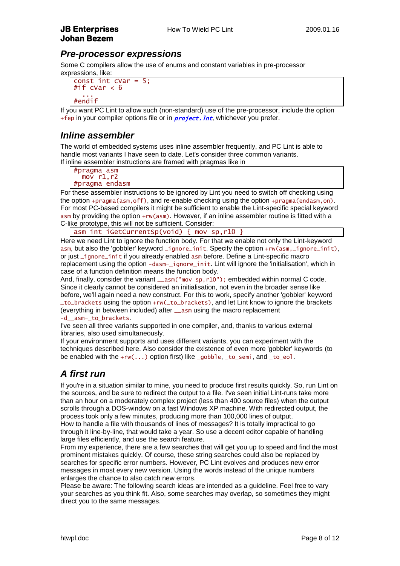#### *Pre-processor expressions*

Some C compilers allow the use of enums and constant variables in pre-processor expressions, like:

```
const int cVar = 5:
#if cVar < 6 ...
#endif
```
If you want PC Lint to allow such (non-standard) use of the pre-processor, include the option +fep in your compiler options file or in **project.** Int, whichever you prefer.

#### *Inline assembler*

The world of embedded systems uses inline assembler frequently, and PC Lint is able to handle most variants I have seen to date. Let's consider three common variants. If inline assembler instructions are framed with pragmas like in

#pragma asm mov  $r1, r2$ #pragma endasm

For these assembler instructions to be ignored by Lint you need to switch off checking using the option +pragma(asm,off), and re-enable checking using the option +pragma(endasm,on). For most PC-based compilers it might be sufficient to enable the Lint-specific special keyword asm by providing the option +rw(asm). However, if an inline assembler routine is fitted with a C-like prototype, this will not be sufficient. Consider:

asm int iGetCurrentSp(void) { mov sp, r10 }

Here we need Lint to ignore the function body. For that we enable not only the Lint-keyword asm, but also the 'gobbler' keyword \_ignore\_init. Specify the option +rw(asm,\_ignore\_init), or just \_ignore\_init if you already enabled asm before. Define a Lint-specific macro replacement using the option -dasm=\_ignore\_init. Lint will ignore the 'initialisation', which in case of a function definition means the function body.

And, finally, consider the variant \_\_asm("mov sp, r10"); embedded within normal C code. Since it clearly cannot be considered an initialisation, not even in the broader sense like before, we'll again need a new construct. For this to work, specify another 'gobbler' keyword \_to\_brackets using the option +rw(\_to\_brackets), and let Lint know to ignore the brackets (everything in between included) after \_\_asm using the macro replacement -d\_\_asm=\_to\_brackets.

I've seen all three variants supported in one compiler, and, thanks to various external libraries, also used simultaneously.

If your environment supports and uses different variants, you can experiment with the techniques described here. Also consider the existence of even more 'gobbler' keywords (to be enabled with the  $+rw(...)$  option first) like \_gobble, \_to\_semi, and \_to\_eol.

## *A first run*

If you're in a situation similar to mine, you need to produce first results quickly. So, run Lint on the sources, and be sure to redirect the output to a file. I've seen initial Lint-runs take more than an hour on a moderately complex project (less than 400 source files) when the output scrolls through a DOS-window on a fast Windows XP machine. With redirected output, the process took only a few minutes, producing more than 100,000 lines of output. How to handle a file with thousands of lines of messages? It is totally impractical to go through it line-by-line, that would take a year. So use a decent editor capable of handling large files efficiently, and use the search feature.

From my experience, there are a few searches that will get you up to speed and find the most prominent mistakes quickly. Of course, these string searches could also be replaced by searches for specific error numbers. However, PC Lint evolves and produces new error messages in most every new version. Using the words instead of the unique numbers enlarges the chance to also catch new errors.

Please be aware: The following search ideas are intended as a guideline. Feel free to vary your searches as you think fit. Also, some searches may overlap, so sometimes they might direct you to the same messages.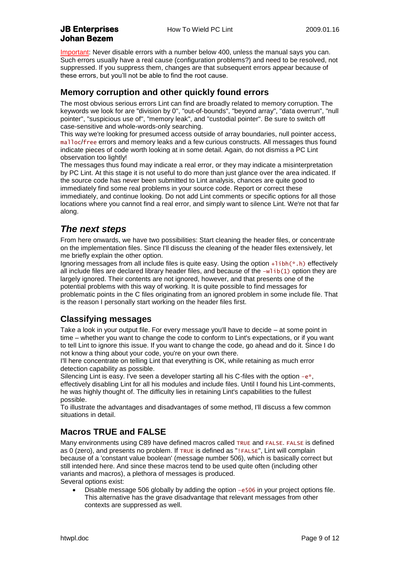Important: Never disable errors with a number below 400, unless the manual says you can. Such errors usually have a real cause (configuration problems?) and need to be resolved, not suppressed. If you suppress them, changes are that subsequent errors appear because of these errors, but you'll not be able to find the root cause.

#### **Memory corruption and other quickly found errors**

The most obvious serious errors Lint can find are broadly related to memory corruption. The keywords we look for are "division by 0", "out-of-bounds", "beyond array", "data overrun", "null pointer", "suspicious use of", "memory leak", and "custodial pointer". Be sure to switch off case-sensitive and whole-words-only searching.

This way we're looking for presumed access outside of array boundaries, null pointer access, malloc/free errors and memory leaks and a few curious constructs. All messages thus found indicate pieces of code worth looking at in some detail. Again, do not dismiss a PC Lint observation too lightly!

The messages thus found may indicate a real error, or they may indicate a misinterpretation by PC Lint. At this stage it is not useful to do more than just glance over the area indicated. If the source code has never been submitted to Lint analysis, chances are quite good to immediately find some real problems in your source code. Report or correct these immediately, and continue looking. Do not add Lint comments or specific options for all those locations where you cannot find a real error, and simply want to silence Lint. We're not that far along.

### *The next steps*

From here onwards, we have two possibilities: Start cleaning the header files, or concentrate on the implementation files. Since I'll discuss the cleaning of the header files extensively, let me briefly explain the other option.

Ignoring messages from all include files is quite easy. Using the option  $+1$ ibh( $*$ .h) effectively all include files are declared library header files, and because of the  $-w1$  ib(1) option they are largely ignored. Their contents are not ignored, however, and that presents one of the potential problems with this way of working. It is quite possible to find messages for problematic points in the C files originating from an ignored problem in some include file. That is the reason I personally start working on the header files first.

#### **Classifying messages**

Take a look in your output file. For every message you'll have to decide – at some point in time – whether you want to change the code to conform to Lint's expectations, or if you want to tell Lint to ignore this issue. If you want to change the code, go ahead and do it. Since I do not know a thing about your code, you're on your own there.

I'll here concentrate on telling Lint that everything is OK, while retaining as much error detection capability as possible.

Silencing Lint is easy. I've seen a developer starting all his C-files with the option  $-e^*$ , effectively disabling Lint for all his modules and include files. Until I found his Lint-comments, he was highly thought of. The difficulty lies in retaining Lint's capabilities to the fullest possible.

To illustrate the advantages and disadvantages of some method, I'll discuss a few common situations in detail.

### **Macros TRUE and FALSE**

Many environments using C89 have defined macros called TRUE and FALSE. FALSE is defined as 0 (zero), and presents no problem. If TRUE is defined as "!FALSE", Lint will complain because of a 'constant value boolean' (message number 506), which is basically correct but still intended here. And since these macros tend to be used quite often (including other variants and macros), a plethora of messages is produced. Several options exist:

 Disable message 506 globally by adding the option –e506 in your project options file. This alternative has the grave disadvantage that relevant messages from other contexts are suppressed as well.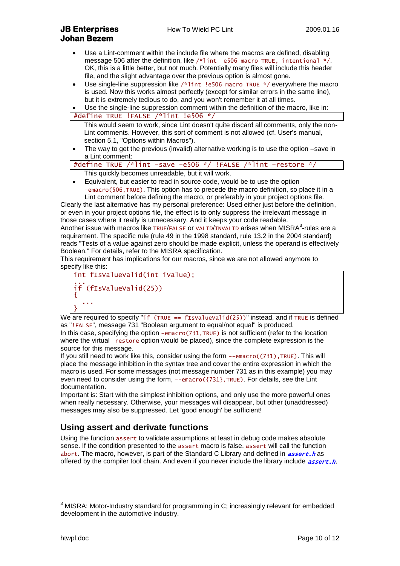- Use a Lint-comment within the include file where the macros are defined, disabling message 506 after the definition, like /\*lint –e506 macro TRUE, intentional \*/. OK, this is a little better, but not much. Potentially many files will include this header file, and the slight advantage over the previous option is almost gone.
- Use single-line suppression like /\*lint !e506 macro TRUE \*/ everywhere the macro is used. Now this works almost perfectly (except for similar errors in the same line), but it is extremely tedious to do, and you won't remember it at all times.

Use the single-line suppression comment within the definition of the macro, like in:

#define TRUE !FALSE /\*lint !e506 \*/

This would seem to work, since Lint doesn't quite discard all comments, only the non-Lint comments. However, this sort of comment is not allowed (cf. User's manual, section 5.1, "Options within Macros").

 The way to get the previous (invalid) alternative working is to use the option –save in a Lint comment:

|                                                    |  |  |  |  |  |  |  | #define TRUE /*lint -save -e506 */ !FALSE /*lint -restore */ |  |
|----------------------------------------------------|--|--|--|--|--|--|--|--------------------------------------------------------------|--|
| This quickly becomes unreadable, but it will work. |  |  |  |  |  |  |  |                                                              |  |

 Equivalent, but easier to read in source code, would be to use the option -emacro(506,TRUE). This option has to precede the macro definition, so place it in a Lint comment before defining the macro, or preferably in your project options file.

Clearly the last alternative has my personal preference: Used either just before the definition, or even in your project options file, the effect is to only suppress the irrelevant message in those cases where it really is unnecessary. And it keeps your code readable.

Another issue with macros like TRUE/FALSE or VALID/INVALID arises when MISRA<sup>3</sup>-rules are a requirement. The specific rule (rule 49 in the 1998 standard, rule 13.2 in the 2004 standard) reads "Tests of a value against zero should be made explicit, unless the operand is effectively Boolean." For details, refer to the MISRA specification.

This requirement has implications for our macros, since we are not allowed anymore to specify like this:

```
int fIsValueValid(int iValue);
...
if (fIsValueValid(25))
{
 ...
}
```
We are required to specify "if (TRUE ==  $flsValueValid(25))$ " instead, and if TRUE is defined as "!FALSE", message 731 "Boolean argument to equal/not equal" is produced. In this case, specifying the option –emacro $(731,TRUE)$  is not sufficient (refer to the location where the virtual –restore option would be placed), since the complete expression is the source for this message.

If you still need to work like this, consider using the form  $-$ -emacro((731), TRUE). This will place the message inhibition in the syntax tree and cover the entire expression in which the macro is used. For some messages (not message number 731 as in this example) you may even need to consider using the form,  $-$ -emacro( $\{731\}$ , TRUE). For details, see the Lint documentation.

Important is: Start with the simplest inhibition options, and only use the more powerful ones when really necessary. Otherwise, your messages will disappear, but other (unaddressed) messages may also be suppressed. Let 'good enough' be sufficient!

#### **Using assert and derivate functions**

Using the function assert to validate assumptions at least in debug code makes absolute sense. If the condition presented to the assert macro is false, assert will call the function abort. The macro, however, is part of the Standard C Library and defined in *assert.h* as offered by the compiler tool chain. And even if you never include the library include *assert.h.* 

-

<sup>&</sup>lt;sup>3</sup> MISRA: Motor-Industry standard for programming in C; increasingly relevant for embedded development in the automotive industry.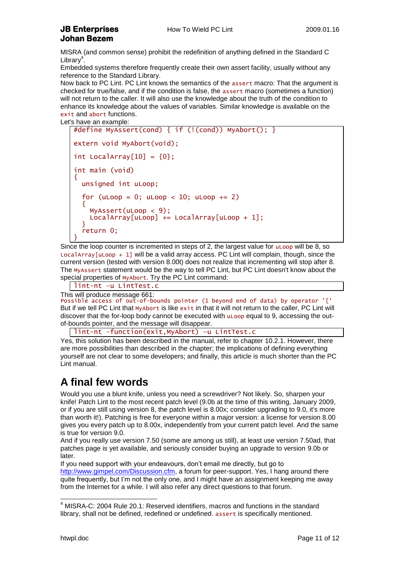MISRA (and common sense) prohibit the redefinition of anything defined in the Standard C Library<sup>4</sup>.

Embedded systems therefore frequently create their own assert facility, usually without any reference to the Standard Library.

Now back to PC Lint. PC Lint knows the semantics of the assert macro: That the argument is checked for true/false, and if the condition is false, the assert macro (sometimes a function) will not return to the caller. It will also use the knowledge about the truth of the condition to enhance its knowledge about the values of variables. Similar knowledge is available on the exit and abort functions.

Let's have an example:

```
#define MyAssert(cond) { if (!(cond)) MyAbort(); }
extern void MyAbort(void);
int LocalArray[10] = \{0\};
int main (void)
{
   unsigned int uLoop;
  for (uLoop = 0; uLoop < 10; uLoop += 2)
\{ MyAssert(uLoop < 9);
 LocalArray[uLoop] += LocalArray[uLoop + 1];
   }
   return 0;
}
```
Since the loop counter is incremented in steps of 2, the largest value for  $u$ Loop will be 8, so LocalArray[uLoop + 1] will be a valid array access. PC Lint will complain, though, since the current version (tested with version 8.00t) does not realize that incrementing will stop after 8. The MyAssert statement would be the way to tell PC Lint, but PC Lint doesn't know about the special properties of MyAbort. Try the PC Lint command:

lint-nt –u LintTest.c

This will produce message 661:

Possible access of out-of-bounds pointer (1 beyond end of data) by operator '[' But if we tell PC Lint that MyAbort is like exit in that it will not return to the caller, PC Lint will discover that the for-loop body cannot be executed with uLoop equal to 9, accessing the outof-bounds pointer, and the message will disappear.

lint-nt –function(exit,MyAbort) –u LintTest.c

Yes, this solution has been described in the manual, refer to chapter 10.2.1. However, there are more possibilities than described in the chapter; the implications of defining everything yourself are not clear to some developers; and finally, this article is much shorter than the PC Lint manual.

## **A final few words**

Would you use a blunt knife, unless you need a screwdriver? Not likely. So, sharpen your knife! Patch Lint to the most recent patch level (9.0b at the time of this writing, January 2009, or if you are still using version 8, the patch level is 8.00x; consider upgrading to 9.0, it's more than worth it!). Patching is free for everyone within a major version: a license for version 8.00 gives you every patch up to 8.00x, independently from your current patch level. And the same is true for version 9.0.

And if you really use version 7.50 (some are among us still), at least use version 7.50ad, that patches page is yet available, and seriously consider buying an upgrade to version 9.0b or later.

If you need support with your endeavours, don't email me directly, but go to [http://www.gimpel.com/Discussion.cfm,](http://www.gimpel.com/Discussion.cfm) a forum for peer-support. Yes, I hang around there quite frequently, but I'm not the only one, and I might have an assignment keeping me away from the Internet for a while. I will also refer any direct questions to that forum.

-

 $4$  MISRA-C: 2004 Rule 20.1: Reserved identifiers, macros and functions in the standard library, shall not be defined, redefined or undefined. assert is specifically mentioned.